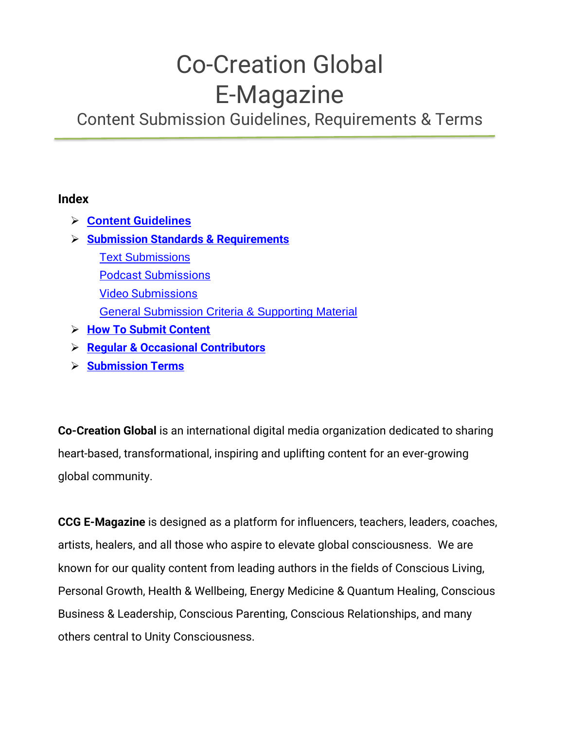# Co-Creation Global E-Magazine

Content Submission Guidelines, Requirements & Terms

#### **Index**

- ➢ **Content G[uidelines](#page-1-0)**
- ➢ **[Submission Standards & Requirements](#page-2-0)**
	- **[Text Submissions](#page-2-1)** [Podcast Submissions](#page-4-0) [Video Submissions](#page-4-1) [General Submission Criteria & Supporting Material](#page-5-0)
- ➢ **[How To Submit Content](#page-6-0)**
- ➢ **[Regular & Occasional Contributors](#page-6-0)**
- ➢ **[Submission Terms](#page-8-0)**

**Co-Creation Global** is an international digital media organization dedicated to sharing heart-based, transformational, inspiring and uplifting content for an ever-growing global community.

**CCG E-Magazine** is designed as a platform for influencers, teachers, leaders, coaches, artists, healers, and all those who aspire to elevate global consciousness. We are known for our quality content from leading authors in the fields of Conscious Living, Personal Growth, Health & Wellbeing, Energy Medicine & Quantum Healing, Conscious Business & Leadership, Conscious Parenting, Conscious Relationships, and many others central to Unity Consciousness.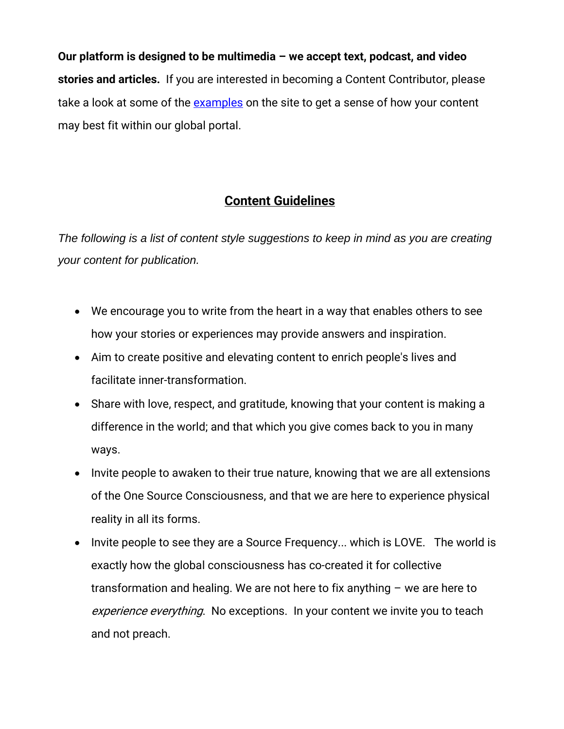**Our platform is designed to be multimedia – we accept text, podcast, and video stories and articles.** If you are interested in becoming a Content Contributor, please take a look at some of the examples on the site to get a sense of how your content may best fit within our global portal.

# <span id="page-1-0"></span>**Content Guidelines**

*The following is a list of content style suggestions to keep in mind as you are creating your content for publication.*

- We encourage you to write from the heart in a way that enables others to see how your stories or experiences may provide answers and inspiration.
- Aim to create positive and elevating content to enrich people's lives and facilitate inner-transformation.
- Share with love, respect, and gratitude, knowing that your content is making a difference in the world; and that which you give comes back to you in many ways.
- Invite people to awaken to their true nature, knowing that we are all extensions of the One Source Consciousness, and that we are here to experience physical reality in all its forms.
- Invite people to see they are a Source Frequency... which is LOVE. The world is exactly how the global consciousness has co-created it for collective transformation and healing. We are not here to fix anything – we are here to experience everything. No exceptions. In your content we invite you to teach and not preach.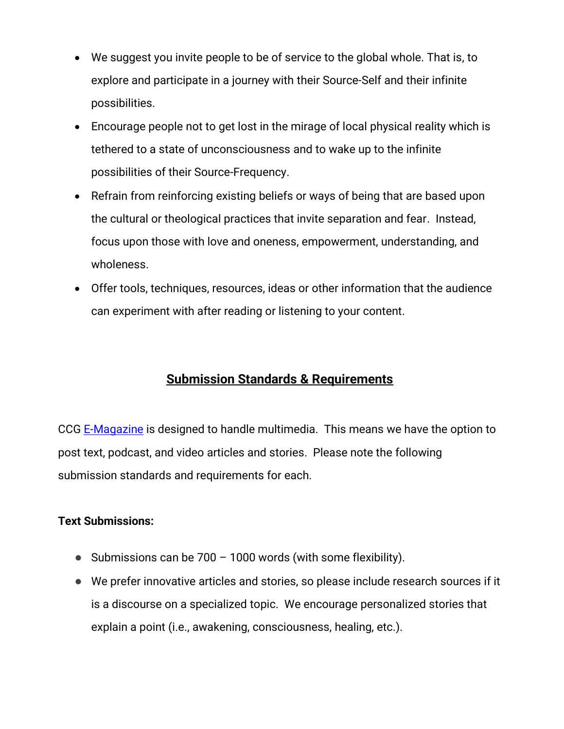- We suggest you invite people to be of service to the global whole. That is, to explore and participate in a journey with their Source-Self and their infinite possibilities.
- Encourage people not to get lost in the mirage of local physical reality which is tethered to a state of unconsciousness and to wake up to the infinite possibilities of their Source-Frequency.
- Refrain from reinforcing existing beliefs or ways of being that are based upon the cultural or theological practices that invite separation and fear. Instead, focus upon those with love and oneness, empowerment, understanding, and wholeness.
- <span id="page-2-0"></span>• Offer tools, techniques, resources, ideas or other information that the audience can experiment with after reading or listening to your content.

# **Submission Standards & Requirements**

<span id="page-2-1"></span>CCG E-Magazine is designed to handle multimedia. This means we have the option to post text, podcast, and video articles and stories. Please note the following submission standards and requirements for each.

## **Text Submissions:**

- Submissions can be  $700 1000$  words (with some flexibility).
- We prefer innovative articles and stories, so please include research sources if it is a discourse on a specialized topic. We encourage personalized stories that explain a point (i.e., awakening, consciousness, healing, etc.).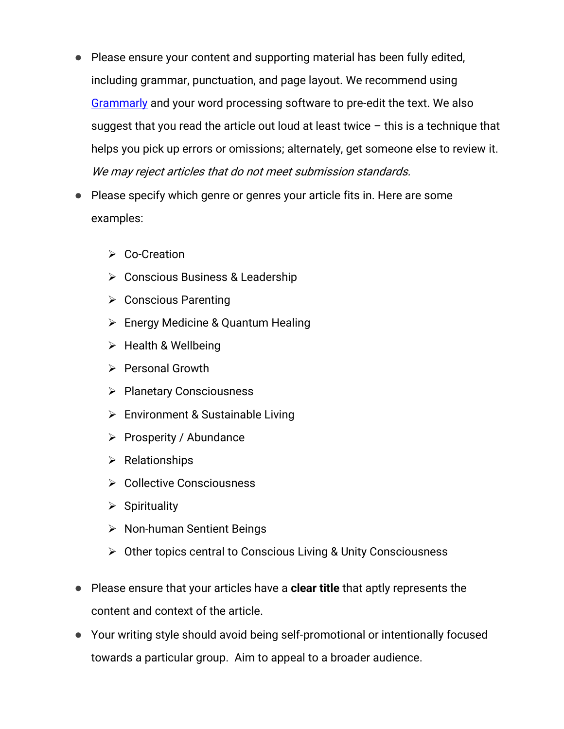- Please ensure your content and supporting material has been fully edited, including grammar, punctuation, and page layout. We recommend using Grammarly and your word processing software to pre-edit the text. We also suggest that you read the article out loud at least twice  $-$  this is a technique that helps you pick up errors or omissions; alternately, get someone else to review it. We may reject articles that do not meet submission standards.
- Please specify which genre or genres your article fits in. Here are some examples:
	- ➢ Co-Creation
	- ➢ Conscious Business & Leadership
	- ➢ Conscious Parenting
	- ➢ Energy Medicine & Quantum Healing
	- $\triangleright$  Health & Wellbeing
	- ➢ Personal Growth
	- ➢ Planetary Consciousness
	- ➢ Environment & Sustainable Living
	- ➢ Prosperity / Abundance
	- ➢ Relationships
	- ➢ Collective Consciousness
	- $\triangleright$  Spirituality
	- ➢ Non-human Sentient Beings
	- ➢ Other topics central to Conscious Living & Unity Consciousness
- Please ensure that your articles have a **clear title** that aptly represents the content and context of the article.
- Your writing style should avoid being self-promotional or intentionally focused towards a particular group. Aim to appeal to a broader audience.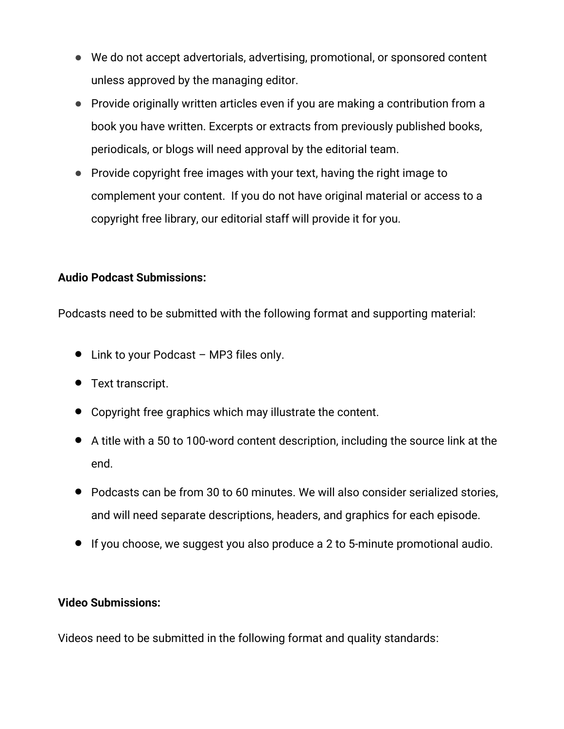- We do not accept advertorials, advertising, promotional, or sponsored content unless approved by the managing editor.
- Provide originally written articles even if you are making a contribution from a book you have written. Excerpts or extracts from previously published books, periodicals, or blogs will need approval by the editorial team.
- <span id="page-4-0"></span>● Provide copyright free images with your text, having the right image to complement your content. If you do not have original material or access to a copyright free library, our editorial staff will provide it for you.

## **Audio Podcast Submissions:**

Podcasts need to be submitted with the following format and supporting material:

- Link to your Podcast MP3 files only.
- Text transcript.
- Copyright free graphics which may illustrate the content.
- A title with a 50 to 100-word content description, including the source link at the end.
- Podcasts can be from 30 to 60 minutes. We will also consider serialized stories, and will need separate descriptions, headers, and graphics for each episode.
- If you choose, we suggest you also produce a 2 to 5-minute promotional audio.

### <span id="page-4-1"></span>**Video Submissions:**

Videos need to be submitted in the following format and quality standards: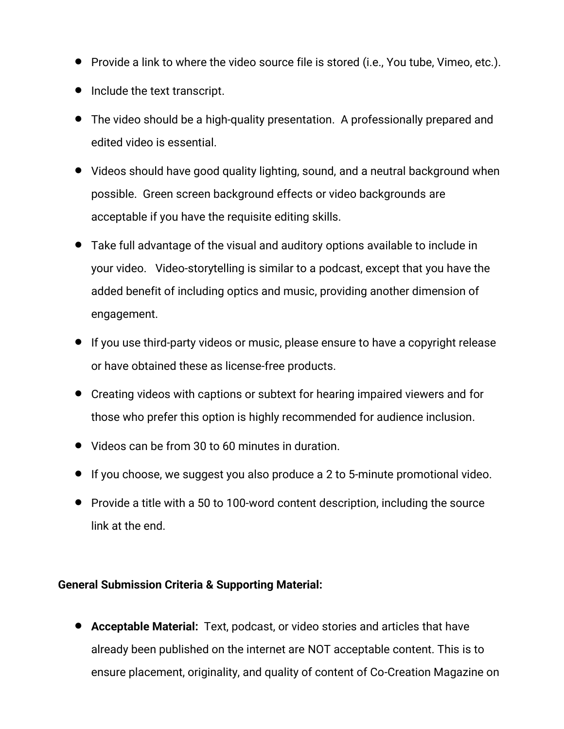- Provide a link to where the video source file is stored (i.e., You tube, Vimeo, etc.).
- Include the text transcript.
- The video should be a high-quality presentation. <sup>A</sup> professionally prepared and edited video is essential.
- Videos should have good quality lighting, sound, and a neutral background when possible. Green screen background effects or video backgrounds are acceptable if you have the requisite editing skills.
- Take full advantage of the visual and auditory options available to include in your video. Video-storytelling is similar to a podcast, except that you have the added benefit of including optics and music, providing another dimension of engagement.
- If you use third-party videos or music, please ensure to have a copyright release or have obtained these as license-free products.
- Creating videos with captions or subtext for hearing impaired viewers and for those who prefer this option is highly recommended for audience inclusion.
- Videos can be from 30 to 60 minutes in duration.
- If you choose, we suggest you also produce a 2 to 5-minute promotional video.
- Provide a title with a 50 to 100-word content description, including the source link at the end.

### <span id="page-5-0"></span>**General Submission Criteria & Supporting Material:**

• **Acceptable Material:** Text, podcast, or video stories and articles that have already been published on the internet are NOT acceptable content. This is to ensure placement, originality, and quality of content of Co-Creation Magazine on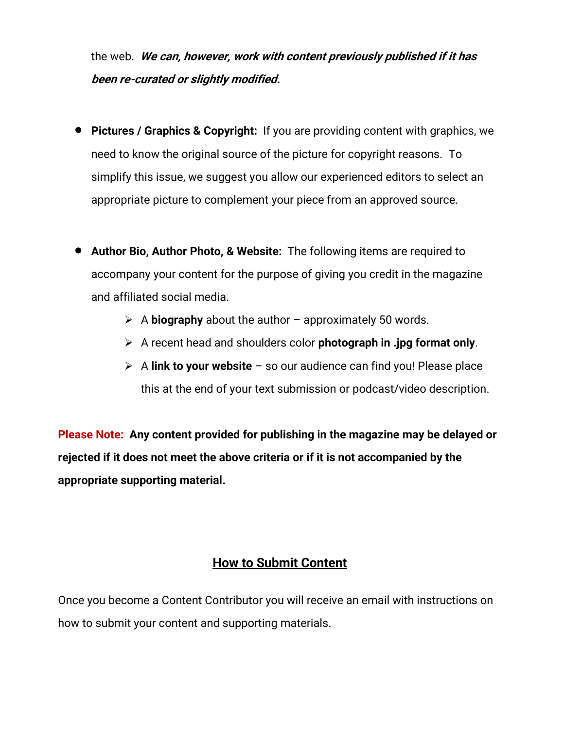the web. **We can, however, work with content previously published if it has been re-curated or slightly modified.**

- **Pictures / Graphics & Copyright:** If you are providing content with graphics, we need to know the original source of the picture for copyright reasons. To simplify this issue, we suggest you allow our experienced editors to select an appropriate picture to complement your piece from an approved source.
- **Author Bio, Author Photo, & Website:** The following items are required to accompany your content for the purpose of giving you credit in the magazine and affiliated social media.
	- ➢ A **biography** about the author approximately 50 words.
	- ➢ A recent head and shoulders color **photograph in .jpg format only**.
	- ➢ A **link to your website** so our audience can find you! Please place this at the end of your text submission or podcast/video description.

**Please Note: Any content provided for publishing in the magazine may be delayed or rejected if it does not meet the above criteria or if it is not accompanied by the appropriate supporting material.**

## **How to Submit Content**

<span id="page-6-0"></span>Once you become a Content Contributor you will receive an email with instructions on how to submit your content and supporting materials.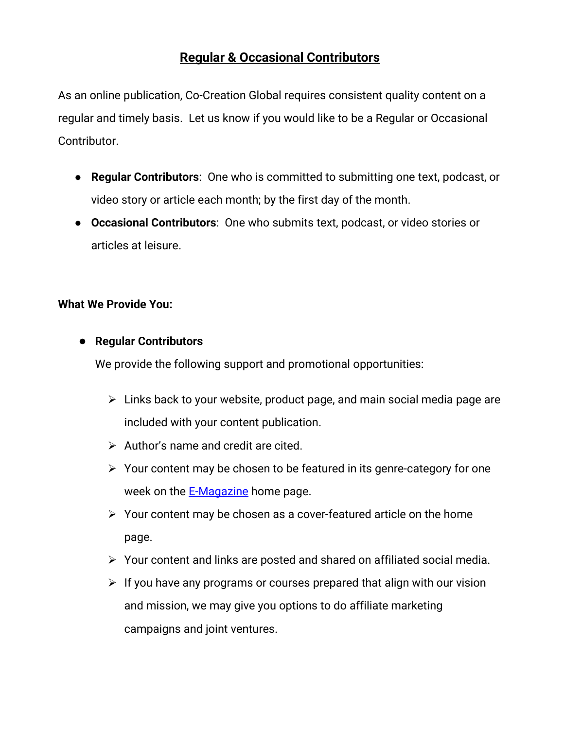# **Regular & Occasional Contributors**

As an online publication, Co-Creation Global requires consistent quality content on a regular and timely basis. Let us know if you would like to be a Regular or Occasional Contributor.

- **Regular Contributors**: One who is committed to submitting one text, podcast, or video story or article each month; by the first day of the month.
- **Occasional Contributors**: One who submits text, podcast, or video stories or articles at leisure.

#### **What We Provide You:**

#### ● **Regular Contributors**

We provide the following support and promotional opportunities:

- $\triangleright$  Links back to your website, product page, and main social media page are included with your content publication.
- ➢ Author's name and credit are cited.
- ➢ Your content may be chosen to be featured in its genre-category for one week on the **E-Magazine** home page.
- ➢ Your content may be chosen as a cover-featured article on the home page.
- ➢ Your content and links are posted and shared on affiliated social media.
- $\triangleright$  If you have any programs or courses prepared that align with our vision and mission, we may give you options to do affiliate marketing campaigns and joint ventures.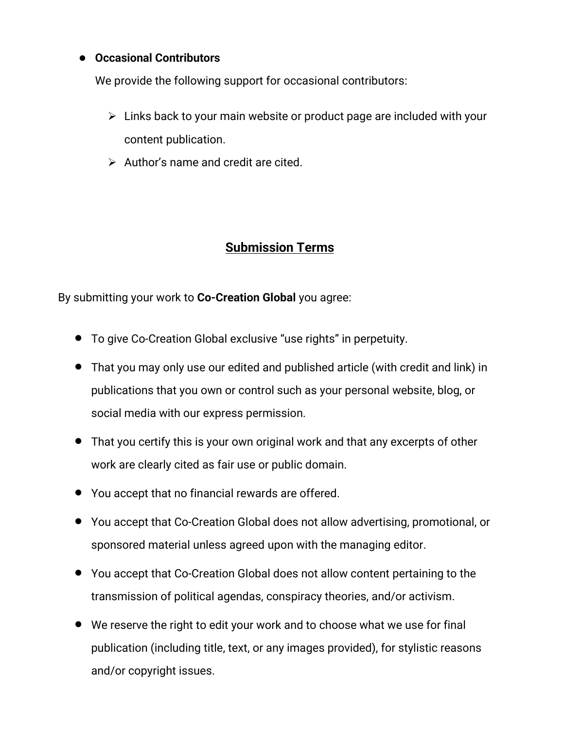### <span id="page-8-0"></span>● **Occasional Contributors**

We provide the following support for occasional contributors:

- $\triangleright$  Links back to your main website or product page are included with your content publication.
- $\triangleright$  Author's name and credit are cited.

# **Submission Terms**

By submitting your work to **Co-Creation Global** you agree:

- To give Co-Creation Global exclusive "use rights" in perpetuity.
- That you may only use our edited and published article (with credit and link) in publications that you own or control such as your personal website, blog, or social media with our express permission.
- That you certify this is your own original work and that any excerpts of other work are clearly cited as fair use or public domain.
- You accept that no financial rewards are offered.
- You accept that Co-Creation Global does not allow advertising, promotional, or sponsored material unless agreed upon with the managing editor.
- You accept that Co-Creation Global does not allow content pertaining to the transmission of political agendas, conspiracy theories, and/or activism.
- We reserve the right to edit your work and to choose what we use for final publication (including title, text, or any images provided), for stylistic reasons and/or copyright issues.